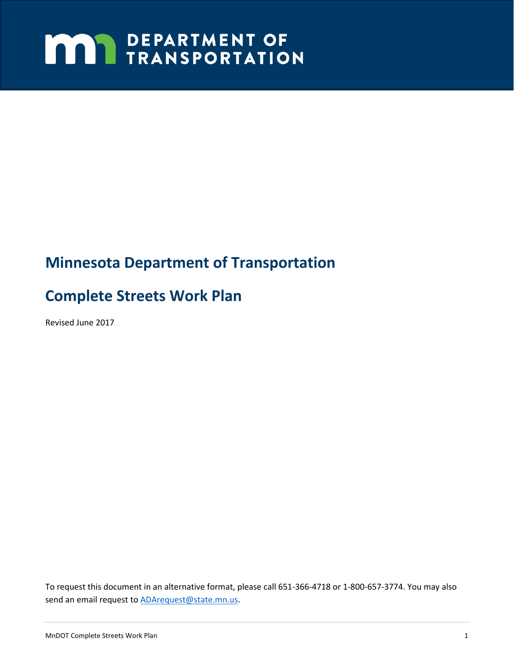# **MAY DEPARTMENT OF TRANSPORTATION**

# **Minnesota Department of Transportation**

# **Complete Streets Work Plan**

Revised June 2017

To request this document in an alternative format, please call 651-366-4718 or 1-800-657-3774. You may also send an email request to **ADArequest@state.mn.us.**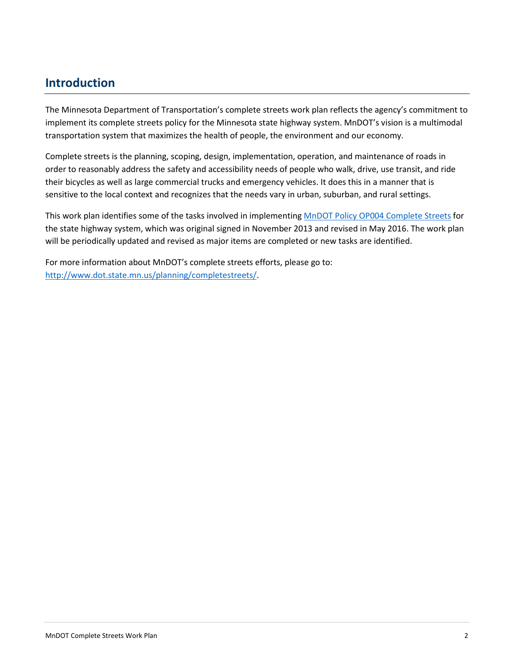### **Introduction**

The Minnesota Department of Transportation's complete streets work plan reflects the agency's commitment to implement its complete streets policy for the Minnesota state highway system. MnDOT's vision is a multimodal transportation system that maximizes the health of people, the environment and our economy.

Complete streets is the planning, scoping, design, implementation, operation, and maintenance of roads in order to reasonably address the safety and accessibility needs of people who walk, drive, use transit, and ride their bicycles as well as large commercial trucks and emergency vehicles. It does this in a manner that is sensitive to the local context and recognizes that the needs vary in urban, suburban, and rural settings.

This work plan identifies some of the tasks involved in implementing [MnDOT Policy OP004 Complete Streets](http://www.dot.state.mn.us/planning/completestreets/policy.html) for the state highway system, which was original signed in November 2013 and revised in May 2016. The work plan will be periodically updated and revised as major items are completed or new tasks are identified.

For more information about MnDOT's complete streets efforts, please go to: [http://www.dot.state.mn.us/planning/completestreets/.](http://www.dot.state.mn.us/planning/completestreets/)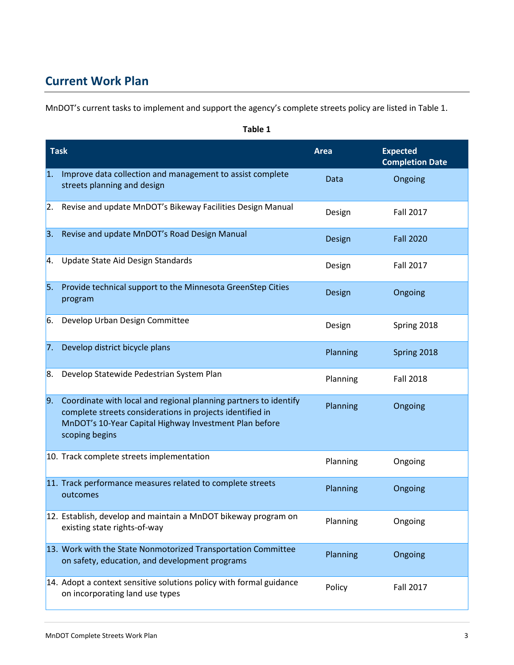## **Current Work Plan**

MnDOT's current tasks to implement and support the agency's complete streets policy are listed in Table 1.

| <b>Task</b> |                                                                                                                                                                                                           | Area     | <b>Expected</b><br><b>Completion Date</b> |
|-------------|-----------------------------------------------------------------------------------------------------------------------------------------------------------------------------------------------------------|----------|-------------------------------------------|
| 1.          | Improve data collection and management to assist complete<br>streets planning and design                                                                                                                  | Data     | Ongoing                                   |
| 2.          | Revise and update MnDOT's Bikeway Facilities Design Manual                                                                                                                                                | Design   | <b>Fall 2017</b>                          |
| 3.          | Revise and update MnDOT's Road Design Manual                                                                                                                                                              | Design   | <b>Fall 2020</b>                          |
| 4.          | Update State Aid Design Standards                                                                                                                                                                         | Design   | <b>Fall 2017</b>                          |
| 5.          | Provide technical support to the Minnesota GreenStep Cities<br>program                                                                                                                                    | Design   | Ongoing                                   |
| 6.          | Develop Urban Design Committee                                                                                                                                                                            | Design   | Spring 2018                               |
| 7.          | Develop district bicycle plans                                                                                                                                                                            | Planning | Spring 2018                               |
| 8.          | Develop Statewide Pedestrian System Plan                                                                                                                                                                  | Planning | <b>Fall 2018</b>                          |
| 9.          | Coordinate with local and regional planning partners to identify<br>complete streets considerations in projects identified in<br>MnDOT's 10-Year Capital Highway Investment Plan before<br>scoping begins | Planning | Ongoing                                   |
|             | 10. Track complete streets implementation                                                                                                                                                                 | Planning | Ongoing                                   |
|             | 11. Track performance measures related to complete streets<br>outcomes                                                                                                                                    | Planning | Ongoing                                   |
|             | 12. Establish, develop and maintain a MnDOT bikeway program on<br>existing state rights-of-way                                                                                                            | Planning | Ongoing                                   |
|             | 13. Work with the State Nonmotorized Transportation Committee<br>on safety, education, and development programs                                                                                           | Planning | Ongoing                                   |
|             | 14. Adopt a context sensitive solutions policy with formal guidance<br>on incorporating land use types                                                                                                    | Policy   | <b>Fall 2017</b>                          |

#### **Table 1**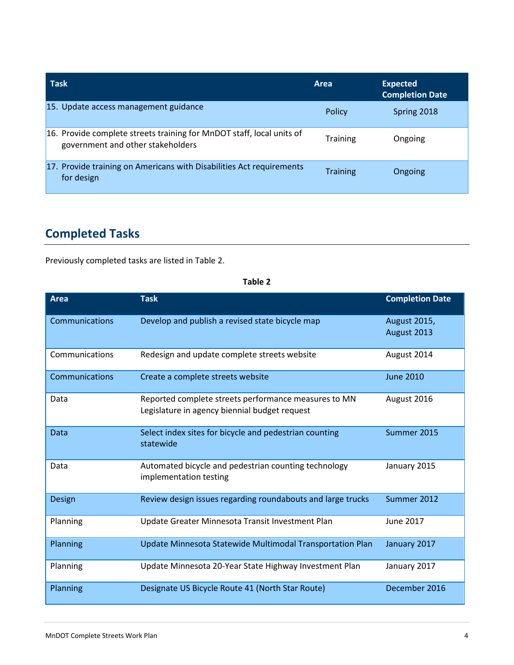| <b>Task</b>                                                                                                | Area            | <b>Expected</b><br><b>Completion Date</b> |
|------------------------------------------------------------------------------------------------------------|-----------------|-------------------------------------------|
| 15. Update access management guidance                                                                      | Policy          | Spring 2018                               |
| 16. Provide complete streets training for MnDOT staff, local units of<br>government and other stakeholders | <b>Training</b> | Ongoing                                   |
| 17. Provide training on Americans with Disabilities Act requirements<br>for design                         | <b>Training</b> | Ongoing                                   |

## **Completed Tasks**

Previously completed tasks are listed in Table 2.

| <b>Area</b>    | <b>Task</b>                                                                                           | <b>Completion Date</b>             |
|----------------|-------------------------------------------------------------------------------------------------------|------------------------------------|
| Communications | Develop and publish a revised state bicycle map                                                       | <b>August 2015,</b><br>August 2013 |
| Communications | Redesign and update complete streets website                                                          | August 2014                        |
| Communications | Create a complete streets website                                                                     | <b>June 2010</b>                   |
| Data           | Reported complete streets performance measures to MN<br>Legislature in agency biennial budget request | August 2016                        |
| Data           | Select index sites for bicycle and pedestrian counting<br>statewide                                   | Summer 2015                        |
| Data           | Automated bicycle and pedestrian counting technology<br>implementation testing                        | January 2015                       |
| Design         | Review design issues regarding roundabouts and large trucks                                           | Summer 2012                        |
| Planning       | Update Greater Minnesota Transit Investment Plan                                                      | <b>June 2017</b>                   |
| Planning       | Update Minnesota Statewide Multimodal Transportation Plan                                             | January 2017                       |
| Planning       | Update Minnesota 20-Year State Highway Investment Plan                                                | January 2017                       |
| Planning       | Designate US Bicycle Route 41 (North Star Route)                                                      | December 2016                      |

#### **Table 2**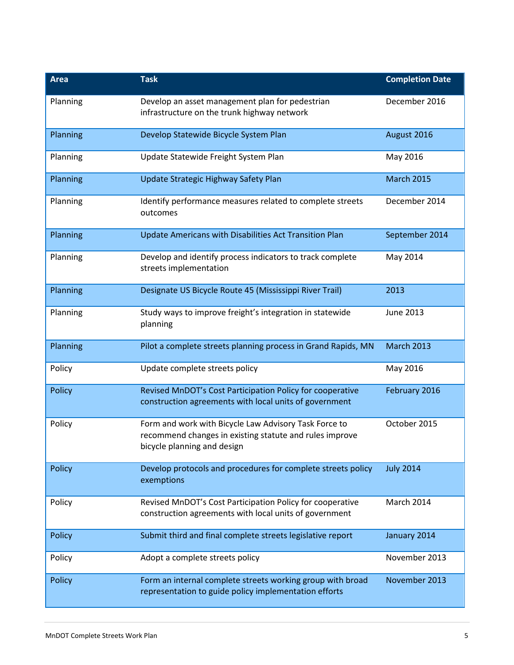| <b>Area</b> | <b>Task</b>                                                                                                                                     | <b>Completion Date</b> |
|-------------|-------------------------------------------------------------------------------------------------------------------------------------------------|------------------------|
| Planning    | Develop an asset management plan for pedestrian<br>infrastructure on the trunk highway network                                                  | December 2016          |
| Planning    | Develop Statewide Bicycle System Plan                                                                                                           | August 2016            |
| Planning    | Update Statewide Freight System Plan                                                                                                            | May 2016               |
| Planning    | Update Strategic Highway Safety Plan                                                                                                            | <b>March 2015</b>      |
| Planning    | Identify performance measures related to complete streets<br>outcomes                                                                           | December 2014          |
| Planning    | Update Americans with Disabilities Act Transition Plan                                                                                          | September 2014         |
| Planning    | Develop and identify process indicators to track complete<br>streets implementation                                                             | May 2014               |
| Planning    | Designate US Bicycle Route 45 (Mississippi River Trail)                                                                                         | 2013                   |
| Planning    | Study ways to improve freight's integration in statewide<br>planning                                                                            | June 2013              |
| Planning    | Pilot a complete streets planning process in Grand Rapids, MN                                                                                   | <b>March 2013</b>      |
| Policy      | Update complete streets policy                                                                                                                  | May 2016               |
| Policy      | Revised MnDOT's Cost Participation Policy for cooperative<br>construction agreements with local units of government                             | February 2016          |
| Policy      | Form and work with Bicycle Law Advisory Task Force to<br>recommend changes in existing statute and rules improve<br>bicycle planning and design | October 2015           |
| Policy      | Develop protocols and procedures for complete streets policy<br>exemptions                                                                      | <b>July 2014</b>       |
| Policy      | Revised MnDOT's Cost Participation Policy for cooperative<br>construction agreements with local units of government                             | March 2014             |
| Policy      | Submit third and final complete streets legislative report                                                                                      | January 2014           |
| Policy      | Adopt a complete streets policy                                                                                                                 | November 2013          |
| Policy      | Form an internal complete streets working group with broad<br>representation to guide policy implementation efforts                             | November 2013          |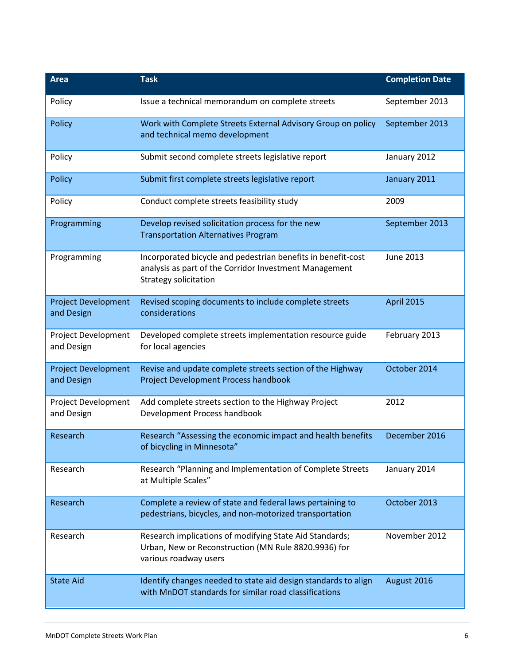| <b>Area</b>                              | <b>Task</b>                                                                                                                                     | <b>Completion Date</b> |
|------------------------------------------|-------------------------------------------------------------------------------------------------------------------------------------------------|------------------------|
| Policy                                   | Issue a technical memorandum on complete streets                                                                                                | September 2013         |
| Policy                                   | Work with Complete Streets External Advisory Group on policy<br>and technical memo development                                                  | September 2013         |
| Policy                                   | Submit second complete streets legislative report                                                                                               | January 2012           |
| Policy                                   | Submit first complete streets legislative report                                                                                                | January 2011           |
| Policy                                   | Conduct complete streets feasibility study                                                                                                      | 2009                   |
| Programming                              | Develop revised solicitation process for the new<br><b>Transportation Alternatives Program</b>                                                  | September 2013         |
| Programming                              | Incorporated bicycle and pedestrian benefits in benefit-cost<br>analysis as part of the Corridor Investment Management<br>Strategy solicitation | June 2013              |
| <b>Project Development</b><br>and Design | Revised scoping documents to include complete streets<br>considerations                                                                         | <b>April 2015</b>      |
| Project Development<br>and Design        | Developed complete streets implementation resource guide<br>for local agencies                                                                  | February 2013          |
| <b>Project Development</b><br>and Design | Revise and update complete streets section of the Highway<br>Project Development Process handbook                                               | October 2014           |
| Project Development<br>and Design        | Add complete streets section to the Highway Project<br>Development Process handbook                                                             | 2012                   |
| Research                                 | Research "Assessing the economic impact and health benefits<br>of bicycling in Minnesota"                                                       | December 2016          |
| Research                                 | Research "Planning and Implementation of Complete Streets<br>at Multiple Scales"                                                                | January 2014           |
| Research                                 | Complete a review of state and federal laws pertaining to<br>pedestrians, bicycles, and non-motorized transportation                            | October 2013           |
| Research                                 | Research implications of modifying State Aid Standards;<br>Urban, New or Reconstruction (MN Rule 8820.9936) for<br>various roadway users        | November 2012          |
| <b>State Aid</b>                         | Identify changes needed to state aid design standards to align<br>with MnDOT standards for similar road classifications                         | August 2016            |